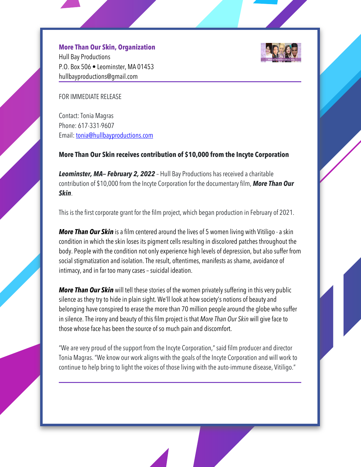## **More Than Our Skin, Organization**

Hull Bay Productions P.O. Box 506 • Leominster, MA 01453 hullbayproductions@gmail.com



FOR IMMEDIATE RELEASE

Contact: Tonia Magras Phone: 617-331-9607 Email: tonia@hullbayproductions.com

## **More Than Our Skin receives contribution of \$10,000 from the Incyte Corporation**

*Leominster, MA— February 2, 2022* – Hull Bay Productions has received a charitable contribution of \$10,000 from the Incyte Corporation for the documentary film, *More Than Our Skin*.

This is the first corporate grant for the film project, which began production in February of 2021.

*More Than Our Skin* is a film centered around the lives of 5 women living with Vitiligo - a skin condition in which the skin loses its pigment cells resulting in discolored patches throughout the body. People with the condition not only experience high levels of depression, but also suffer from social stigmatization and isolation. The result, oftentimes, manifests as shame, avoidance of intimacy, and in far too manycases – suicidal ideation.

*More Than Our Skin* will tell these stories of the women privatelysuffering in thisvery public silence as they try to hide in plain sight. We'll look at how society's notions of beauty and belonging have conspired to erase the more than 70 million people around the globe who suffer in silence. The irony and beauty of this film project is that *More Than Our Skin* will give face to those whose face has been the source of so much pain and discomfort.

"We are very proud of the support from the Incyte Corporation," said film producer and director Tonia Magras. "We know our work aligns with the goals of the Incyte Corporation and will work to continue to help bring to light the voices of those living with the auto-immune disease, Vitiligo."